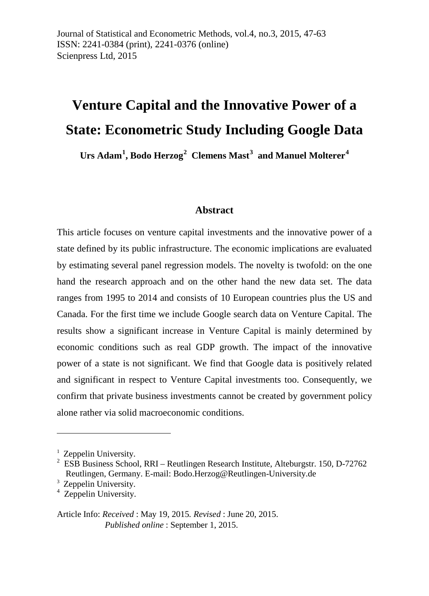# **Venture Capital and the Innovative Power of a State: Econometric Study Including Google Data**

**Urs Adam[1](#page-0-0) , Bodo Herzog[2](#page-0-1) Clemens Mast[3](#page-0-2) and Manuel Molterer[4](#page-0-3)**

#### **Abstract**

This article focuses on venture capital investments and the innovative power of a state defined by its public infrastructure. The economic implications are evaluated by estimating several panel regression models. The novelty is twofold: on the one hand the research approach and on the other hand the new data set. The data ranges from 1995 to 2014 and consists of 10 European countries plus the US and Canada. For the first time we include Google search data on Venture Capital. The results show a significant increase in Venture Capital is mainly determined by economic conditions such as real GDP growth. The impact of the innovative power of a state is not significant. We find that Google data is positively related and significant in respect to Venture Capital investments too. Consequently, we confirm that private business investments cannot be created by government policy alone rather via solid macroeconomic conditions.

-

<span id="page-0-0"></span> $<sup>1</sup>$  Zeppelin University.</sup>

<span id="page-0-1"></span> $2^{2}$  ESB Business School, RRI – Reutlingen Research Institute, Alteburgstr. 150, D-72762 Reutlingen, Germany. E-mail: [Bodo.Herzog@Reutlingen-University.de](mailto:Bodo.Herzog@Reutlingen-University.de)

<span id="page-0-3"></span><span id="page-0-2"></span> $\frac{3}{4}$  Zeppelin University.

Article Info: *Received* : May 19, 2015*. Revised* : June 20, 2015. *Published online* : September 1, 2015.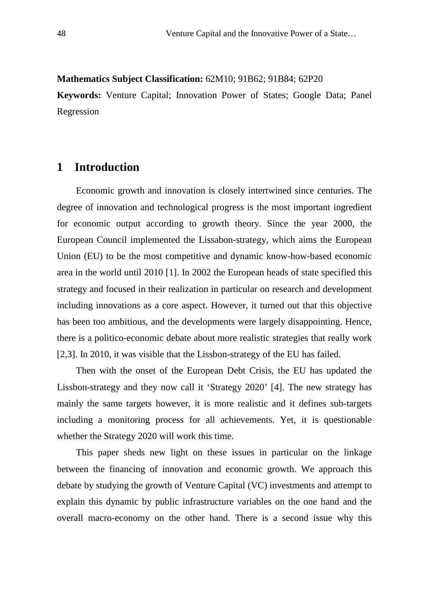#### **Mathematics Subject Classification:** 62M10; 91B62; 91B84; 62P20

**Keywords:** Venture Capital; Innovation Power of States; Google Data; Panel Regression

## **1 Introduction**

Economic growth and innovation is closely intertwined since centuries. The degree of innovation and technological progress is the most important ingredient for economic output according to growth theory. Since the year 2000, the European Council implemented the Lissabon-strategy, which aims the European Union (EU) to be the most competitive and dynamic know-how-based economic area in the world until 2010 [1]. In 2002 the European heads of state specified this strategy and focused in their realization in particular on research and development including innovations as a core aspect. However, it turned out that this objective has been too ambitious, and the developments were largely disappointing. Hence, there is a politico-economic debate about more realistic strategies that really work [2,3]. In 2010, it was visible that the Lissbon-strategy of the EU has failed.

Then with the onset of the European Debt Crisis, the EU has updated the Lissbon-strategy and they now call it 'Strategy 2020' [4]. The new strategy has mainly the same targets however, it is more realistic and it defines sub-targets including a monitoring process for all achievements. Yet, it is questionable whether the Strategy 2020 will work this time.

This paper sheds new light on these issues in particular on the linkage between the financing of innovation and economic growth. We approach this debate by studying the growth of Venture Capital (VC) investments and attempt to explain this dynamic by public infrastructure variables on the one hand and the overall macro-economy on the other hand. There is a second issue why this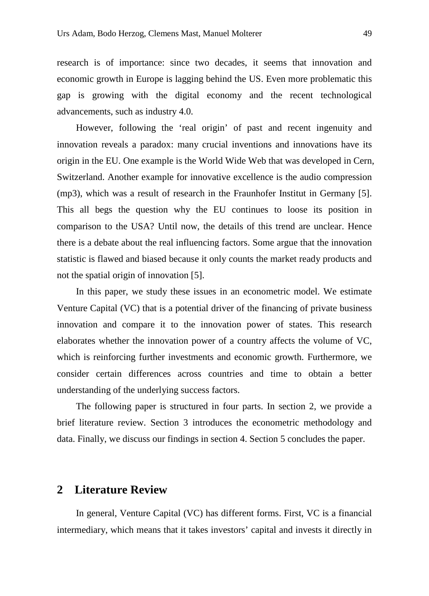research is of importance: since two decades, it seems that innovation and economic growth in Europe is lagging behind the US. Even more problematic this gap is growing with the digital economy and the recent technological advancements, such as industry 4.0.

However, following the 'real origin' of past and recent ingenuity and innovation reveals a paradox: many crucial inventions and innovations have its origin in the EU. One example is the World Wide Web that was developed in Cern, Switzerland. Another example for innovative excellence is the audio compression (mp3), which was a result of research in the Fraunhofer Institut in Germany [5]. This all begs the question why the EU continues to loose its position in comparison to the USA? Until now, the details of this trend are unclear. Hence there is a debate about the real influencing factors. Some argue that the innovation statistic is flawed and biased because it only counts the market ready products and not the spatial origin of innovation [5].

In this paper, we study these issues in an econometric model. We estimate Venture Capital (VC) that is a potential driver of the financing of private business innovation and compare it to the innovation power of states. This research elaborates whether the innovation power of a country affects the volume of VC, which is reinforcing further investments and economic growth. Furthermore, we consider certain differences across countries and time to obtain a better understanding of the underlying success factors.

The following paper is structured in four parts. In section 2, we provide a brief literature review. Section 3 introduces the econometric methodology and data. Finally, we discuss our findings in section 4. Section 5 concludes the paper.

### **2 Literature Review**

In general, Venture Capital (VC) has different forms. First, VC is a financial intermediary, which means that it takes investors' capital and invests it directly in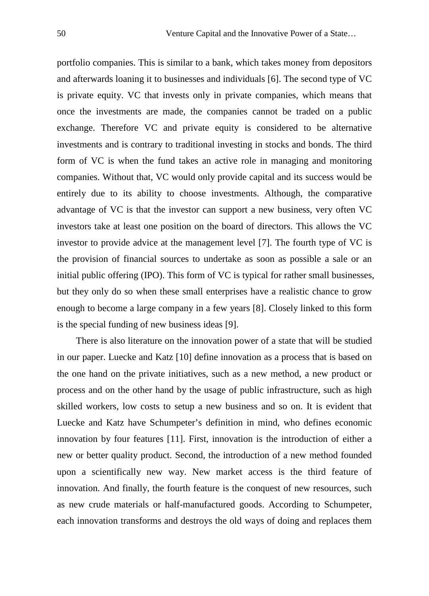portfolio companies. This is similar to a bank, which takes money from depositors and afterwards loaning it to businesses and individuals [6]. The second type of VC is private equity. VC that invests only in private companies, which means that once the investments are made, the companies cannot be traded on a public exchange. Therefore VC and private equity is considered to be alternative investments and is contrary to traditional investing in stocks and bonds. The third form of VC is when the fund takes an active role in managing and monitoring companies. Without that, VC would only provide capital and its success would be entirely due to its ability to choose investments. Although, the comparative advantage of VC is that the investor can support a new business, very often VC investors take at least one position on the board of directors. This allows the VC investor to provide advice at the management level [7]. The fourth type of VC is the provision of financial sources to undertake as soon as possible a sale or an initial public offering (IPO). This form of VC is typical for rather small businesses, but they only do so when these small enterprises have a realistic chance to grow enough to become a large company in a few years [8]. Closely linked to this form is the special funding of new business ideas [9].

There is also literature on the innovation power of a state that will be studied in our paper. Luecke and Katz [10] define innovation as a process that is based on the one hand on the private initiatives, such as a new method, a new product or process and on the other hand by the usage of public infrastructure, such as high skilled workers, low costs to setup a new business and so on. It is evident that Luecke and Katz have Schumpeter's definition in mind, who defines economic innovation by four features [11]. First, innovation is the introduction of either a new or better quality product. Second, the introduction of a new method founded upon a scientifically new way. New market access is the third feature of innovation. And finally, the fourth feature is the conquest of new resources, such as new crude materials or half-manufactured goods. According to Schumpeter, each innovation transforms and destroys the old ways of doing and replaces them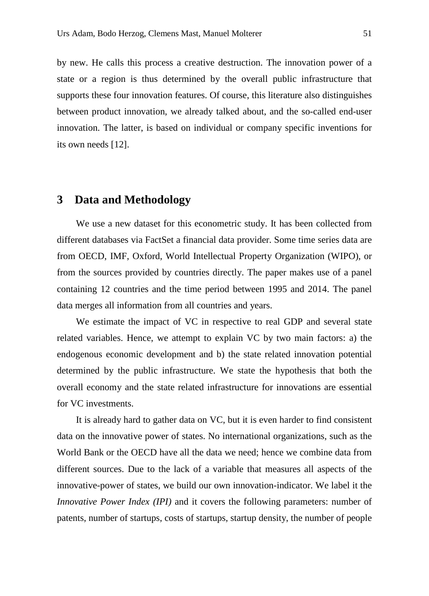by new. He calls this process a creative destruction. The innovation power of a state or a region is thus determined by the overall public infrastructure that supports these four innovation features. Of course, this literature also distinguishes between product innovation, we already talked about, and the so-called end-user innovation. The latter, is based on individual or company specific inventions for its own needs [12].

#### **3 Data and Methodology**

We use a new dataset for this econometric study. It has been collected from different databases via FactSet a financial data provider. Some time series data are from OECD, IMF, Oxford, World Intellectual Property Organization (WIPO), or from the sources provided by countries directly. The paper makes use of a panel containing 12 countries and the time period between 1995 and 2014. The panel data merges all information from all countries and years.

We estimate the impact of VC in respective to real GDP and several state related variables. Hence, we attempt to explain VC by two main factors: a) the endogenous economic development and b) the state related innovation potential determined by the public infrastructure. We state the hypothesis that both the overall economy and the state related infrastructure for innovations are essential for VC investments.

It is already hard to gather data on VC, but it is even harder to find consistent data on the innovative power of states. No international organizations, such as the World Bank or the OECD have all the data we need; hence we combine data from different sources. Due to the lack of a variable that measures all aspects of the innovative-power of states, we build our own innovation-indicator. We label it the *Innovative Power Index (IPI)* and it covers the following parameters: number of patents, number of startups, costs of startups, startup density, the number of people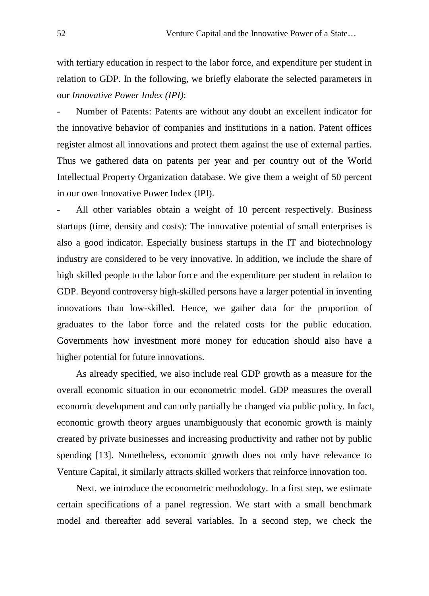with tertiary education in respect to the labor force, and expenditure per student in relation to GDP. In the following, we briefly elaborate the selected parameters in our *Innovative Power Index (IPI)*:

Number of Patents: Patents are without any doubt an excellent indicator for the innovative behavior of companies and institutions in a nation. Patent offices register almost all innovations and protect them against the use of external parties. Thus we gathered data on patents per year and per country out of the World Intellectual Property Organization database. We give them a weight of 50 percent in our own Innovative Power Index (IPI).

All other variables obtain a weight of 10 percent respectively. Business startups (time, density and costs): The innovative potential of small enterprises is also a good indicator. Especially business startups in the IT and biotechnology industry are considered to be very innovative. In addition, we include the share of high skilled people to the labor force and the expenditure per student in relation to GDP. Beyond controversy high-skilled persons have a larger potential in inventing innovations than low-skilled. Hence, we gather data for the proportion of graduates to the labor force and the related costs for the public education. Governments how investment more money for education should also have a higher potential for future innovations.

As already specified, we also include real GDP growth as a measure for the overall economic situation in our econometric model. GDP measures the overall economic development and can only partially be changed via public policy. In fact, economic growth theory argues unambiguously that economic growth is mainly created by private businesses and increasing productivity and rather not by public spending [13]. Nonetheless, economic growth does not only have relevance to Venture Capital, it similarly attracts skilled workers that reinforce innovation too.

Next, we introduce the econometric methodology. In a first step, we estimate certain specifications of a panel regression. We start with a small benchmark model and thereafter add several variables. In a second step, we check the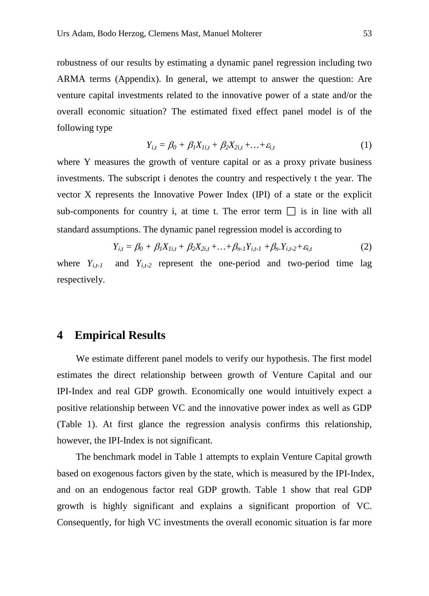robustness of our results by estimating a dynamic panel regression including two ARMA terms (Appendix). In general, we attempt to answer the question: Are venture capital investments related to the innovative power of a state and/or the overall economic situation? The estimated fixed effect panel model is of the following type

$$
Y_{i,t} = \beta_0 + \beta_1 X_{Ii,t} + \beta_2 X_{2i,t} + \dots + \varepsilon_{i,t}
$$
 (1)

where Y measures the growth of venture capital or as a proxy private business investments. The subscript i denotes the country and respectively t the year. The vector X represents the Innovative Power Index (IPI) of a state or the explicit sub-components for country i, at time t. The error term  $\Box$  is in line with all standard assumptions. The dynamic panel regression model is according to

$$
Y_{i,t} = \beta_0 + \beta_1 X_{1i,t} + \beta_2 X_{2i,t} + \dots + \beta_{n-1} Y_{i,t-1} + \beta_n Y_{i,t-2} + \varepsilon_{i,t}
$$
 (2)

where  $Y_{i,t-1}$  and  $Y_{i,t-2}$  represent the one-period and two-period time lag respectively.

#### **4 Empirical Results**

We estimate different panel models to verify our hypothesis. The first model estimates the direct relationship between growth of Venture Capital and our IPI-Index and real GDP growth. Economically one would intuitively expect a positive relationship between VC and the innovative power index as well as GDP (Table 1). At first glance the regression analysis confirms this relationship, however, the IPI-Index is not significant.

 The benchmark model in Table 1 attempts to explain Venture Capital growth based on exogenous factors given by the state, which is measured by the IPI-Index, and on an endogenous factor real GDP growth. Table 1 show that real GDP growth is highly significant and explains a significant proportion of VC. Consequently, for high VC investments the overall economic situation is far more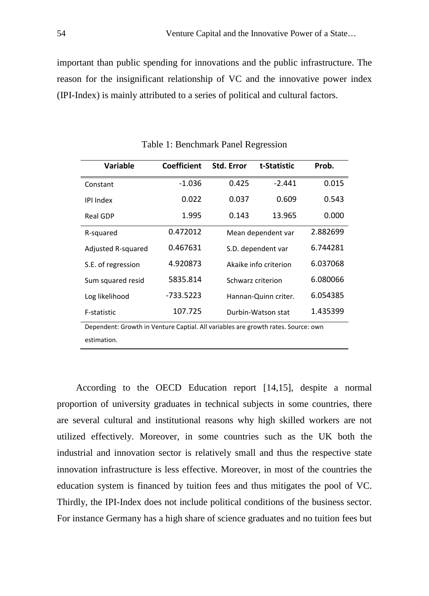important than public spending for innovations and the public infrastructure. The reason for the insignificant relationship of VC and the innovative power index (IPI-Index) is mainly attributed to a series of political and cultural factors.

| <b>Variable</b>                                                                   | Coefficient | Std. Error | t-Statistic           | Prob.    |
|-----------------------------------------------------------------------------------|-------------|------------|-----------------------|----------|
| Constant                                                                          | $-1.036$    | 0.425      | $-2.441$              | 0.015    |
| <b>IPI Index</b>                                                                  | 0.022       | 0.037      | 0.609                 | 0.543    |
| Real GDP                                                                          | 1.995       | 0.143      | 13.965                | 0.000    |
| R-squared                                                                         | 0.472012    |            | Mean dependent var    |          |
| Adjusted R-squared                                                                | 0.467631    |            | S.D. dependent var    |          |
| S.E. of regression                                                                | 4.920873    |            | Akaike info criterion |          |
| Sum squared resid                                                                 | 5835.814    |            | Schwarz criterion     |          |
| Log likelihood                                                                    | $-733.5223$ |            | Hannan-Quinn criter.  |          |
| F-statistic                                                                       | 107.725     |            | Durbin-Watson stat    | 1.435399 |
| Dependent: Growth in Venture Captial. All variables are growth rates. Source: own |             |            |                       |          |
| estimation.                                                                       |             |            |                       |          |

Table 1: Benchmark Panel Regression

According to the OECD Education report [14,15], despite a normal proportion of university graduates in technical subjects in some countries, there are several cultural and institutional reasons why high skilled workers are not utilized effectively. Moreover, in some countries such as the UK both the industrial and innovation sector is relatively small and thus the respective state innovation infrastructure is less effective. Moreover, in most of the countries the education system is financed by tuition fees and thus mitigates the pool of VC. Thirdly, the IPI-Index does not include political conditions of the business sector. For instance Germany has a high share of science graduates and no tuition fees but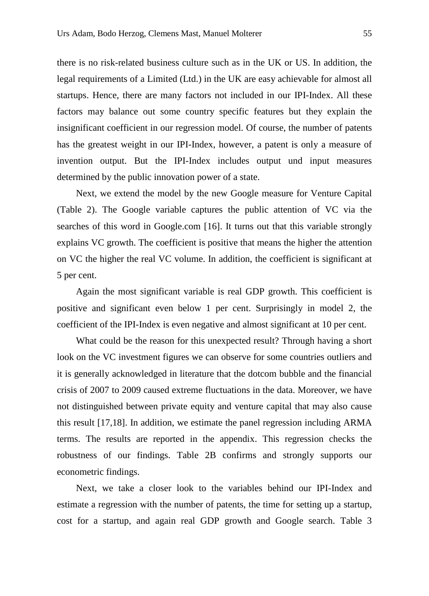there is no risk-related business culture such as in the UK or US. In addition, the legal requirements of a Limited (Ltd.) in the UK are easy achievable for almost all startups. Hence, there are many factors not included in our IPI-Index. All these factors may balance out some country specific features but they explain the insignificant coefficient in our regression model. Of course, the number of patents has the greatest weight in our IPI-Index, however, a patent is only a measure of invention output. But the IPI-Index includes output und input measures determined by the public innovation power of a state.

Next, we extend the model by the new Google measure for Venture Capital (Table 2). The Google variable captures the public attention of VC via the searches of this word in Google.com [16]. It turns out that this variable strongly explains VC growth. The coefficient is positive that means the higher the attention on VC the higher the real VC volume. In addition, the coefficient is significant at 5 per cent.

Again the most significant variable is real GDP growth. This coefficient is positive and significant even below 1 per cent. Surprisingly in model 2, the coefficient of the IPI-Index is even negative and almost significant at 10 per cent.

What could be the reason for this unexpected result? Through having a short look on the VC investment figures we can observe for some countries outliers and it is generally acknowledged in literature that the dotcom bubble and the financial crisis of 2007 to 2009 caused extreme fluctuations in the data. Moreover, we have not distinguished between private equity and venture capital that may also cause this result [17,18]. In addition, we estimate the panel regression including ARMA terms. The results are reported in the appendix. This regression checks the robustness of our findings. Table 2B confirms and strongly supports our econometric findings.

Next, we take a closer look to the variables behind our IPI-Index and estimate a regression with the number of patents, the time for setting up a startup, cost for a startup, and again real GDP growth and Google search. Table 3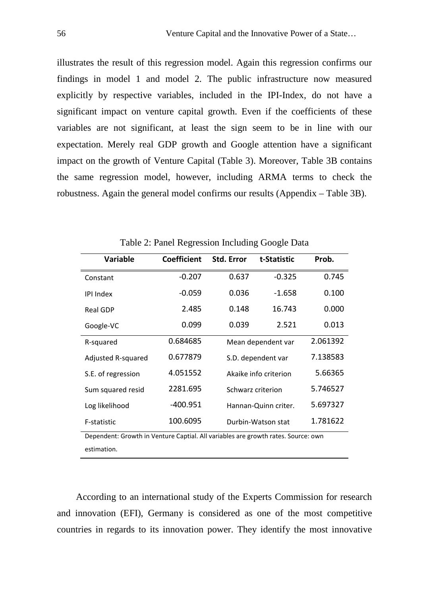illustrates the result of this regression model. Again this regression confirms our findings in model 1 and model 2. The public infrastructure now measured explicitly by respective variables, included in the IPI-Index, do not have a significant impact on venture capital growth. Even if the coefficients of these variables are not significant, at least the sign seem to be in line with our expectation. Merely real GDP growth and Google attention have a significant impact on the growth of Venture Capital (Table 3). Moreover, Table 3B contains the same regression model, however, including ARMA terms to check the robustness. Again the general model confirms our results (Appendix – Table 3B).

| <b>Variable</b>                                                                   | <b>Coefficient</b> | <b>Std. Error</b>     | t-Statistic        | Prob.    |
|-----------------------------------------------------------------------------------|--------------------|-----------------------|--------------------|----------|
| Constant                                                                          | $-0.207$           | 0.637                 | $-0.325$           | 0.745    |
| <b>IPI Index</b>                                                                  | $-0.059$           | 0.036                 | $-1.658$           | 0.100    |
| <b>Real GDP</b>                                                                   | 2.485              | 0.148                 | 16.743             | 0.000    |
| Google-VC                                                                         | 0.099              | 0.039                 | 2.521              | 0.013    |
| R-squared                                                                         | 0.684685           |                       | Mean dependent var |          |
| Adjusted R-squared                                                                | 0.677879           | S.D. dependent var    |                    | 7.138583 |
| S.E. of regression                                                                | 4.051552           | Akaike info criterion |                    | 5.66365  |
| Sum squared resid                                                                 | 2281.695           | Schwarz criterion     |                    | 5.746527 |
| Log likelihood                                                                    | $-400.951$         | Hannan-Quinn criter.  |                    | 5.697327 |
| F-statistic                                                                       | 100.6095           | Durbin-Watson stat    |                    | 1.781622 |
| Dependent: Growth in Venture Captial. All variables are growth rates. Source: own |                    |                       |                    |          |
| estimation.                                                                       |                    |                       |                    |          |

Table 2: Panel Regression Including Google Data

According to an international study of the Experts Commission for research and innovation (EFI), Germany is considered as one of the most competitive countries in regards to its innovation power. They identify the most innovative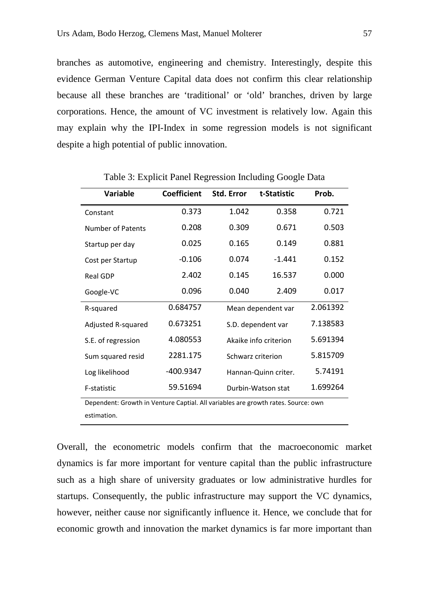branches as automotive, engineering and chemistry. Interestingly, despite this evidence German Venture Capital data does not confirm this clear relationship because all these branches are 'traditional' or 'old' branches, driven by large corporations. Hence, the amount of VC investment is relatively low. Again this may explain why the IPI-Index in some regression models is not significant despite a high potential of public innovation.

| Variable                                                                          | <b>Coefficient</b> | Std. Error | t-Statistic           | Prob. |
|-----------------------------------------------------------------------------------|--------------------|------------|-----------------------|-------|
| Constant                                                                          | 0.373              | 1.042      | 0.358                 | 0.721 |
| Number of Patents                                                                 | 0.208              | 0.309      | 0.671                 | 0.503 |
| Startup per day                                                                   | 0.025              | 0.165      | 0.149                 | 0.881 |
| Cost per Startup                                                                  | $-0.106$           | 0.074      | $-1.441$              | 0.152 |
| Real GDP                                                                          | 2.402              | 0.145      | 16.537                | 0.000 |
| Google-VC                                                                         | 0.096              | 0.040      | 2.409                 | 0.017 |
| R-squared                                                                         | 0.684757           |            | Mean dependent var    |       |
| Adjusted R-squared                                                                | 0.673251           |            | S.D. dependent var    |       |
| S.E. of regression                                                                | 4.080553           |            | Akaike info criterion |       |
| Sum squared resid                                                                 | 2281.175           |            | Schwarz criterion     |       |
| Log likelihood                                                                    | -400.9347          |            | Hannan-Quinn criter.  |       |
| F-statistic                                                                       | 59.51694           |            | Durbin-Watson stat    |       |
| Dependent: Growth in Venture Captial. All variables are growth rates. Source: own |                    |            |                       |       |
| estimation                                                                        |                    |            |                       |       |

Table 3: Explicit Panel Regression Including Google Data

Overall, the econometric models confirm that the macroeconomic market dynamics is far more important for venture capital than the public infrastructure such as a high share of university graduates or low administrative hurdles for startups. Consequently, the public infrastructure may support the VC dynamics, however, neither cause nor significantly influence it. Hence, we conclude that for economic growth and innovation the market dynamics is far more important than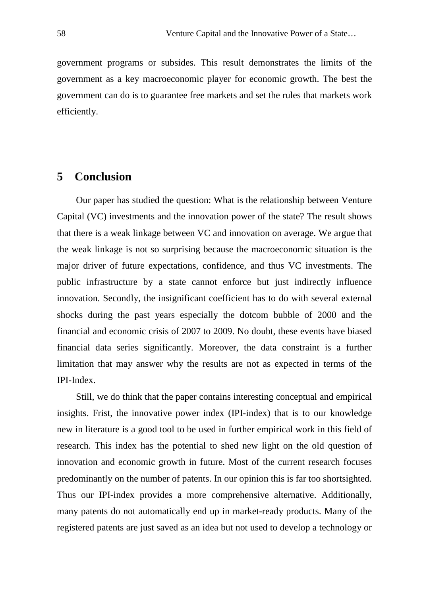government programs or subsides. This result demonstrates the limits of the government as a key macroeconomic player for economic growth. The best the government can do is to guarantee free markets and set the rules that markets work efficiently.

# **5 Conclusion**

Our paper has studied the question: What is the relationship between Venture Capital (VC) investments and the innovation power of the state? The result shows that there is a weak linkage between VC and innovation on average. We argue that the weak linkage is not so surprising because the macroeconomic situation is the major driver of future expectations, confidence, and thus VC investments. The public infrastructure by a state cannot enforce but just indirectly influence innovation. Secondly, the insignificant coefficient has to do with several external shocks during the past years especially the dotcom bubble of 2000 and the financial and economic crisis of 2007 to 2009. No doubt, these events have biased financial data series significantly. Moreover, the data constraint is a further limitation that may answer why the results are not as expected in terms of the IPI-Index.

Still, we do think that the paper contains interesting conceptual and empirical insights. Frist, the innovative power index (IPI-index) that is to our knowledge new in literature is a good tool to be used in further empirical work in this field of research. This index has the potential to shed new light on the old question of innovation and economic growth in future. Most of the current research focuses predominantly on the number of patents. In our opinion this is far too shortsighted. Thus our IPI-index provides a more comprehensive alternative. Additionally, many patents do not automatically end up in market-ready products. Many of the registered patents are just saved as an idea but not used to develop a technology or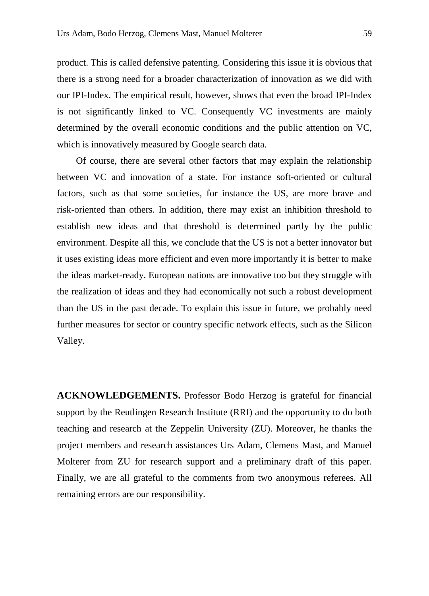product. This is called defensive patenting. Considering this issue it is obvious that there is a strong need for a broader characterization of innovation as we did with our IPI-Index. The empirical result, however, shows that even the broad IPI-Index is not significantly linked to VC. Consequently VC investments are mainly determined by the overall economic conditions and the public attention on VC, which is innovatively measured by Google search data.

Of course, there are several other factors that may explain the relationship between VC and innovation of a state. For instance soft-oriented or cultural factors, such as that some societies, for instance the US, are more brave and risk-oriented than others. In addition, there may exist an inhibition threshold to establish new ideas and that threshold is determined partly by the public environment. Despite all this, we conclude that the US is not a better innovator but it uses existing ideas more efficient and even more importantly it is better to make the ideas market-ready. European nations are innovative too but they struggle with the realization of ideas and they had economically not such a robust development than the US in the past decade. To explain this issue in future, we probably need further measures for sector or country specific network effects, such as the Silicon Valley.

**ACKNOWLEDGEMENTS.** Professor Bodo Herzog is grateful for financial support by the Reutlingen Research Institute (RRI) and the opportunity to do both teaching and research at the Zeppelin University (ZU). Moreover, he thanks the project members and research assistances Urs Adam, Clemens Mast, and Manuel Molterer from ZU for research support and a preliminary draft of this paper. Finally, we are all grateful to the comments from two anonymous referees. All remaining errors are our responsibility.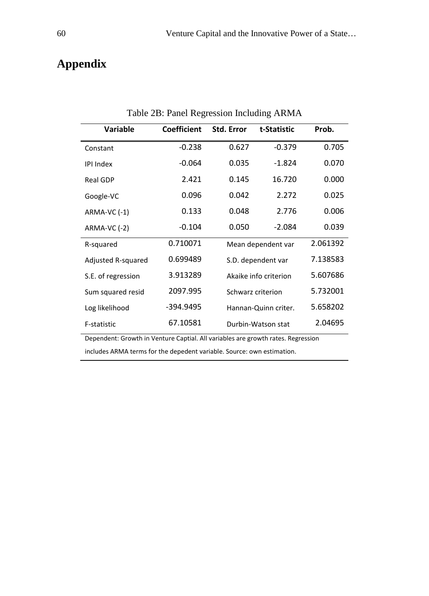# **Appendix**

| <b>Variable</b>                                                                  | <b>Coefficient</b> | Std. Error | t-Statistic           | Prob. |
|----------------------------------------------------------------------------------|--------------------|------------|-----------------------|-------|
| Constant                                                                         | $-0.238$           | 0.627      | $-0.379$              | 0.705 |
| <b>IPI Index</b>                                                                 | $-0.064$           | 0.035      | $-1.824$              | 0.070 |
| <b>Real GDP</b>                                                                  | 2.421              | 0.145      | 16.720                | 0.000 |
| Google-VC                                                                        | 0.096              | 0.042      | 2.272                 | 0.025 |
| ARMA-VC (-1)                                                                     | 0.133              | 0.048      | 2.776                 | 0.006 |
| ARMA-VC (-2)                                                                     | $-0.104$           | 0.050      | $-2.084$              | 0.039 |
| R-squared                                                                        | 0.710071           |            | Mean dependent var    |       |
| Adjusted R-squared                                                               | 0.699489           |            | S.D. dependent var    |       |
| S.E. of regression                                                               | 3.913289           |            | Akaike info criterion |       |
| Sum squared resid                                                                | 2097.995           |            | Schwarz criterion     |       |
| Log likelihood                                                                   | -394.9495          |            | Hannan-Quinn criter.  |       |
| F-statistic                                                                      | 67.10581           |            | Durbin-Watson stat    |       |
| Dependent: Growth in Venture Captial. All variables are growth rates. Regression |                    |            |                       |       |

Table 2B: Panel Regression Including ARMA

includes ARMA terms for the depedent variable. Source: own estimation.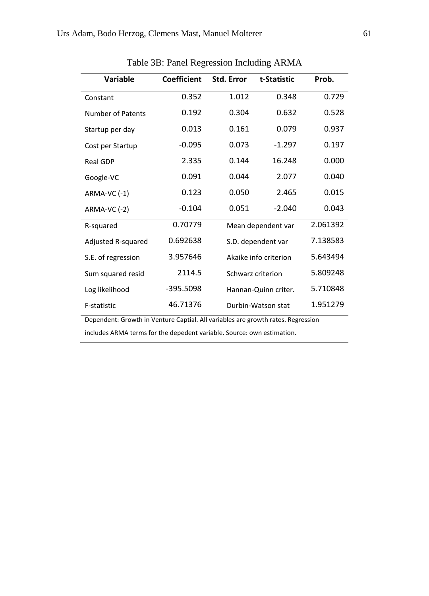| Variable                 | <b>Coefficient</b> | <b>Std. Error</b>     | t-Statistic        | Prob.    |
|--------------------------|--------------------|-----------------------|--------------------|----------|
| Constant                 | 0.352              | 1.012                 | 0.348              | 0.729    |
| <b>Number of Patents</b> | 0.192              | 0.304                 | 0.632              | 0.528    |
| Startup per day          | 0.013              | 0.161                 | 0.079              | 0.937    |
| Cost per Startup         | $-0.095$           | 0.073                 | $-1.297$           | 0.197    |
| <b>Real GDP</b>          | 2.335              | 0.144                 | 16.248             | 0.000    |
| Google-VC                | 0.091              | 0.044                 | 2.077              | 0.040    |
| ARMA-VC (-1)             | 0.123              | 0.050                 | 2.465              | 0.015    |
| ARMA-VC (-2)             | $-0.104$           | 0.051                 | $-2.040$           | 0.043    |
| R-squared                | 0.70779            |                       | Mean dependent var |          |
| Adjusted R-squared       | 0.692638           |                       | S.D. dependent var |          |
| S.E. of regression       | 3.957646           | Akaike info criterion |                    | 5.643494 |
| Sum squared resid        | 2114.5             | Schwarz criterion     |                    | 5.809248 |
| Log likelihood           | -395.5098          | Hannan-Quinn criter.  |                    | 5.710848 |
| F-statistic              | 46.71376           |                       | Durbin-Watson stat | 1.951279 |

Table 3B: Panel Regression Including ARMA

Dependent: Growth in Venture Captial. All variables are growth rates. Regression

includes ARMA terms for the depedent variable. Source: own estimation.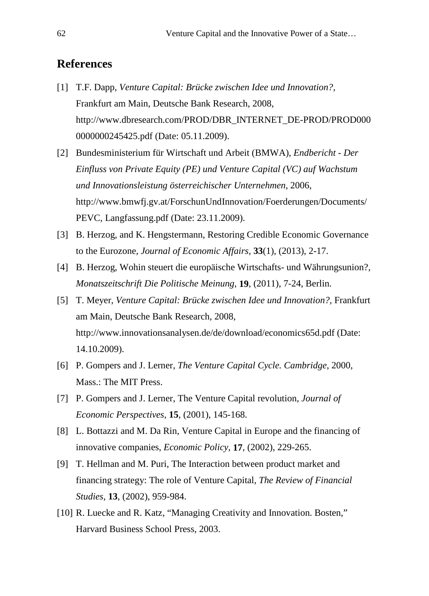### **References**

- [1] T.F. Dapp, *Venture Capital: Brücke zwischen Idee und Innovation?,* Frankfurt am Main, Deutsche Bank Research, 2008, http://www.dbresearch.com/PROD/DBR\_INTERNET\_DE-PROD/PROD000 0000000245425.pdf (Date: 05.11.2009).
- [2] Bundesministerium für Wirtschaft und Arbeit (BMWA), *Endbericht - Der Einfluss von Private Equity (PE) und Venture Capital (VC) auf Wachstum und Innovationsleistung österreichischer Unternehmen*, 2006, http://www.bmwfj.gv.at/ForschunUndInnovation/Foerderungen/Documents/ PEVC, Langfassung.pdf (Date: 23.11.2009).
- [3] B. Herzog, and K. Hengstermann, Restoring Credible Economic Governance to the Eurozone, *Journal of Economic Affairs*, **33**(1), (2013), 2-17.
- [4] B. Herzog, Wohin steuert die europäische Wirtschafts- und Währungsunion?, *Monatszeitschrift Die Politische Meinung*, **19**, (2011), 7-24, Berlin.
- [5] T. Meyer, *Venture Capital: Brücke zwischen Idee und Innovation?,* Frankfurt am Main, Deutsche Bank Research, 2008, http://www.innovationsanalysen.de/de/download/economics65d.pdf (Date: 14.10.2009).
- [6] P. Gompers and J. Lerner, *The Venture Capital Cycle. Cambridge*, 2000, Mass.: The MIT Press.
- [7] P. Gompers and J. Lerner, The Venture Capital revolution, *Journal of Economic Perspectives*, **15**, (2001), 145-168.
- [8] L. Bottazzi and M. Da Rin, Venture Capital in Europe and the financing of innovative companies, *Economic Policy*, **17**, (2002), 229-265.
- [9] T. Hellman and M. Puri, The Interaction between product market and financing strategy: The role of Venture Capital, *The Review of Financial Studies*, **13**, (2002), 959-984.
- [10] R. Luecke and R. Katz, "Managing Creativity and Innovation. Bosten," Harvard Business School Press, 2003.